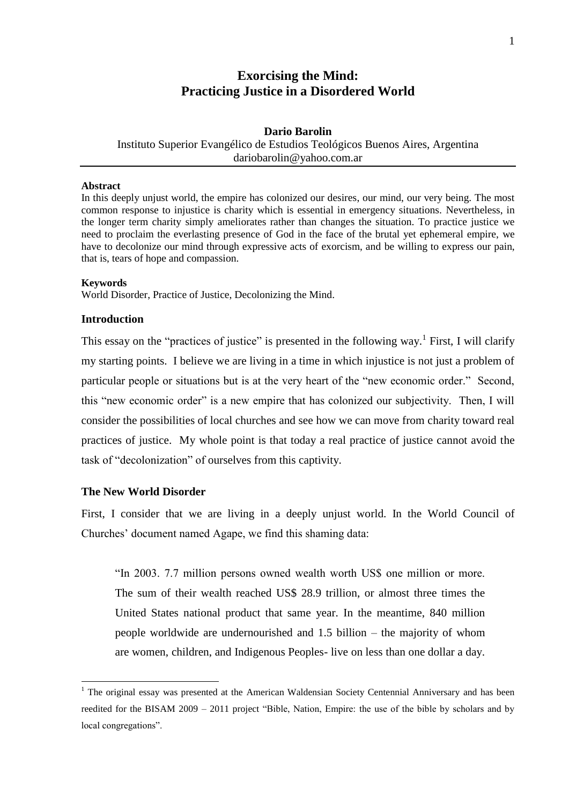# **Exorcising the Mind: Practicing Justice in a Disordered World**

## **Dario Barolin** Instituto Superior Evangélico de Estudios Teológicos Buenos Aires, Argentina dariobarolin@yahoo.com.ar

#### **Abstract**

In this deeply unjust world, the empire has colonized our desires, our mind, our very being. The most common response to injustice is charity which is essential in emergency situations. Nevertheless, in the longer term charity simply ameliorates rather than changes the situation. To practice justice we need to proclaim the everlasting presence of God in the face of the brutal yet ephemeral empire, we have to decolonize our mind through expressive acts of exorcism, and be willing to express our pain, that is, tears of hope and compassion.

#### **Keywords**

World Disorder, Practice of Justice, Decolonizing the Mind.

#### **Introduction**

This essay on the "practices of justice" is presented in the following way.<sup>1</sup> First, I will clarify my starting points. I believe we are living in a time in which injustice is not just a problem of particular people or situations but is at the very heart of the "new economic order." Second, this "new economic order" is a new empire that has colonized our subjectivity. Then, I will consider the possibilities of local churches and see how we can move from charity toward real practices of justice. My whole point is that today a real practice of justice cannot avoid the task of "decolonization" of ourselves from this captivity.

#### **The New World Disorder**

1

First, I consider that we are living in a deeply unjust world. In the World Council of Churches' document named Agape, we find this shaming data:

"In 2003. 7.7 million persons owned wealth worth US\$ one million or more. The sum of their wealth reached US\$ 28.9 trillion, or almost three times the United States national product that same year. In the meantime, 840 million people worldwide are undernourished and 1.5 billion – the majority of whom are women, children, and Indigenous Peoples- live on less than one dollar a day.

<sup>&</sup>lt;sup>1</sup> The original essay was presented at the American Waldensian Society Centennial Anniversary and has been reedited for the BISAM 2009 – 2011 project "Bible, Nation, Empire: the use of the bible by scholars and by local congregations".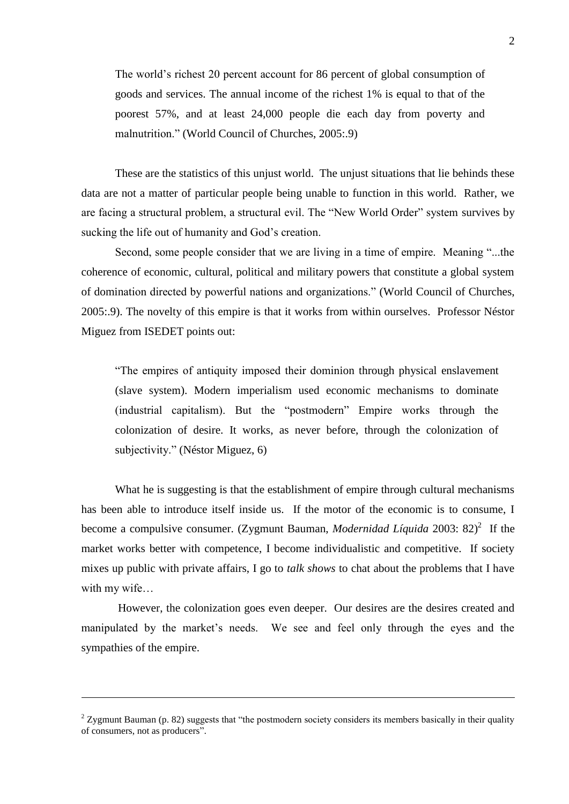The world's richest 20 percent account for 86 percent of global consumption of goods and services. The annual income of the richest 1% is equal to that of the poorest 57%, and at least 24,000 people die each day from poverty and malnutrition." (World Council of Churches, 2005:.9)

These are the statistics of this unjust world. The unjust situations that lie behinds these data are not a matter of particular people being unable to function in this world. Rather, we are facing a structural problem, a structural evil. The "New World Order" system survives by sucking the life out of humanity and God's creation.

Second, some people consider that we are living in a time of empire. Meaning "...the coherence of economic, cultural, political and military powers that constitute a global system of domination directed by powerful nations and organizations." (World Council of Churches, 2005:.9). The novelty of this empire is that it works from within ourselves. Professor Néstor Miguez from ISEDET points out:

"The empires of antiquity imposed their dominion through physical enslavement (slave system). Modern imperialism used economic mechanisms to dominate (industrial capitalism). But the "postmodern" Empire works through the colonization of desire. It works, as never before, through the colonization of subjectivity." (Néstor Miguez, 6)

What he is suggesting is that the establishment of empire through cultural mechanisms has been able to introduce itself inside us. If the motor of the economic is to consume, I become a compulsive consumer. (Zygmunt Bauman, *Modernidad Líquida* 2003: 82) 2 If the market works better with competence, I become individualistic and competitive. If society mixes up public with private affairs, I go to *talk shows* to chat about the problems that I have with my wife…

However, the colonization goes even deeper. Our desires are the desires created and manipulated by the market's needs. We see and feel only through the eyes and the sympathies of the empire.

<u>.</u>

 $2$  Zygmunt Bauman (p. 82) suggests that "the postmodern society considers its members basically in their quality of consumers, not as producers".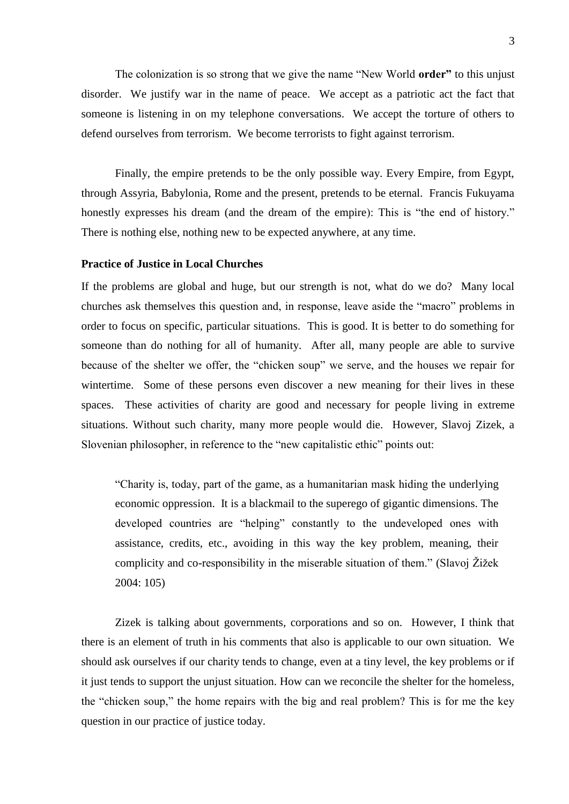The colonization is so strong that we give the name "New World **order"** to this unjust disorder. We justify war in the name of peace. We accept as a patriotic act the fact that someone is listening in on my telephone conversations. We accept the torture of others to defend ourselves from terrorism. We become terrorists to fight against terrorism.

Finally, the empire pretends to be the only possible way. Every Empire, from Egypt, through Assyria, Babylonia, Rome and the present, pretends to be eternal. Francis Fukuyama honestly expresses his dream (and the dream of the empire): This is "the end of history." There is nothing else, nothing new to be expected anywhere, at any time.

#### **Practice of Justice in Local Churches**

If the problems are global and huge, but our strength is not, what do we do? Many local churches ask themselves this question and, in response, leave aside the "macro" problems in order to focus on specific, particular situations. This is good. It is better to do something for someone than do nothing for all of humanity. After all, many people are able to survive because of the shelter we offer, the "chicken soup" we serve, and the houses we repair for wintertime. Some of these persons even discover a new meaning for their lives in these spaces. These activities of charity are good and necessary for people living in extreme situations. Without such charity, many more people would die. However, Slavoj Zizek, a Slovenian philosopher, in reference to the "new capitalistic ethic" points out:

"Charity is, today, part of the game, as a humanitarian mask hiding the underlying economic oppression. It is a blackmail to the superego of gigantic dimensions. The developed countries are "helping" constantly to the undeveloped ones with assistance, credits, etc., avoiding in this way the key problem, meaning, their complicity and co-responsibility in the miserable situation of them." (Slavoj Žižek 2004: 105)

Zizek is talking about governments, corporations and so on. However, I think that there is an element of truth in his comments that also is applicable to our own situation. We should ask ourselves if our charity tends to change, even at a tiny level, the key problems or if it just tends to support the unjust situation. How can we reconcile the shelter for the homeless, the "chicken soup," the home repairs with the big and real problem? This is for me the key question in our practice of justice today.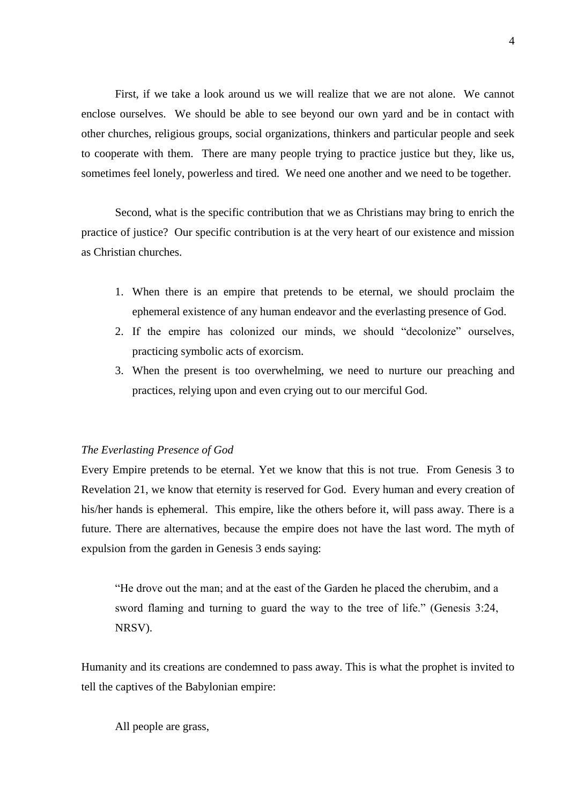First, if we take a look around us we will realize that we are not alone. We cannot enclose ourselves. We should be able to see beyond our own yard and be in contact with other churches, religious groups, social organizations, thinkers and particular people and seek to cooperate with them. There are many people trying to practice justice but they, like us, sometimes feel lonely, powerless and tired. We need one another and we need to be together.

Second, what is the specific contribution that we as Christians may bring to enrich the practice of justice? Our specific contribution is at the very heart of our existence and mission as Christian churches.

- 1. When there is an empire that pretends to be eternal, we should proclaim the ephemeral existence of any human endeavor and the everlasting presence of God.
- 2. If the empire has colonized our minds, we should "decolonize" ourselves, practicing symbolic acts of exorcism.
- 3. When the present is too overwhelming, we need to nurture our preaching and practices, relying upon and even crying out to our merciful God.

### *The Everlasting Presence of God*

Every Empire pretends to be eternal. Yet we know that this is not true. From Genesis 3 to Revelation 21, we know that eternity is reserved for God. Every human and every creation of his/her hands is ephemeral. This empire, like the others before it, will pass away. There is a future. There are alternatives, because the empire does not have the last word. The myth of expulsion from the garden in Genesis 3 ends saying:

"He drove out the man; and at the east of the Garden he placed the cherubim, and a sword flaming and turning to guard the way to the tree of life." (Genesis 3:24, NRSV).

Humanity and its creations are condemned to pass away. This is what the prophet is invited to tell the captives of the Babylonian empire:

All people are grass,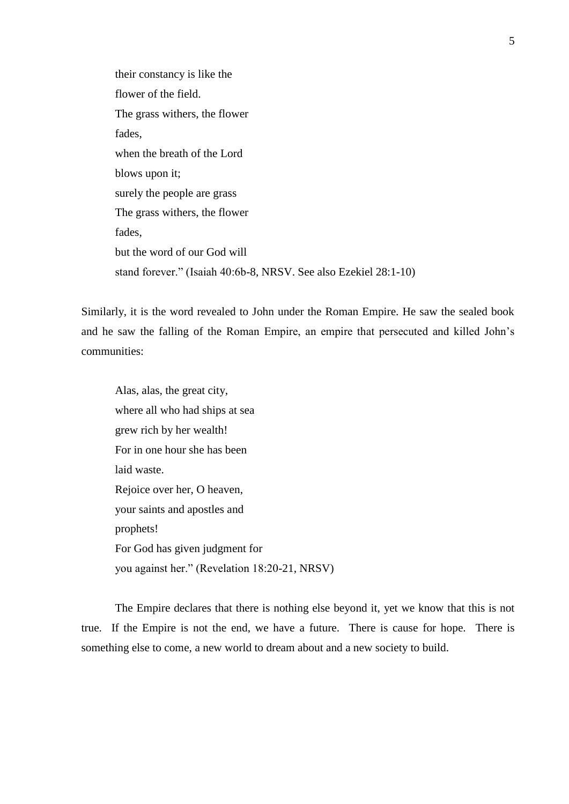their constancy is like the flower of the field. The grass withers, the flower fades, when the breath of the Lord blows upon it; surely the people are grass The grass withers, the flower fades, but the word of our God will stand forever." (Isaiah 40:6b-8, NRSV. See also Ezekiel 28:1-10)

Similarly, it is the word revealed to John under the Roman Empire. He saw the sealed book and he saw the falling of the Roman Empire, an empire that persecuted and killed John's communities:

Alas, alas, the great city, where all who had ships at sea grew rich by her wealth! For in one hour she has been laid waste. Rejoice over her, O heaven, your saints and apostles and prophets! For God has given judgment for you against her." (Revelation 18:20-21, NRSV)

The Empire declares that there is nothing else beyond it, yet we know that this is not true. If the Empire is not the end, we have a future. There is cause for hope. There is something else to come, a new world to dream about and a new society to build.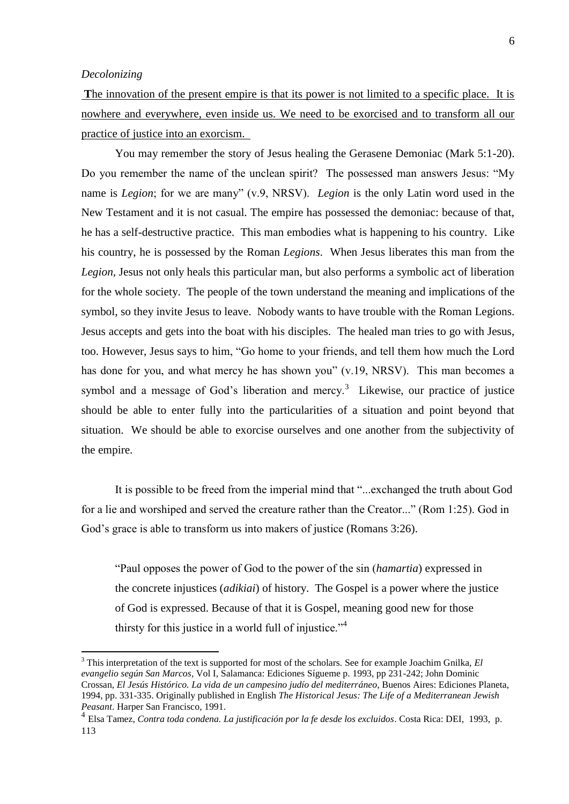#### *Decolonizing*

1

The innovation of the present empire is that its power is not limited to a specific place. It is nowhere and everywhere, even inside us. We need to be exorcised and to transform all our practice of justice into an exorcism.

You may remember the story of Jesus healing the Gerasene Demoniac (Mark 5:1-20). Do you remember the name of the unclean spirit? The possessed man answers Jesus: "My name is *Legion*; for we are many" (v.9, NRSV). *Legion* is the only Latin word used in the New Testament and it is not casual. The empire has possessed the demoniac: because of that, he has a self-destructive practice. This man embodies what is happening to his country. Like his country, he is possessed by the Roman *Legions*. When Jesus liberates this man from the *Legion,* Jesus not only heals this particular man, but also performs a symbolic act of liberation for the whole society. The people of the town understand the meaning and implications of the symbol, so they invite Jesus to leave. Nobody wants to have trouble with the Roman Legions. Jesus accepts and gets into the boat with his disciples. The healed man tries to go with Jesus, too. However, Jesus says to him, "Go home to your friends, and tell them how much the Lord has done for you, and what mercy he has shown you" (v.19, NRSV). This man becomes a symbol and a message of God's liberation and mercy. $3$  Likewise, our practice of justice should be able to enter fully into the particularities of a situation and point beyond that situation. We should be able to exorcise ourselves and one another from the subjectivity of the empire.

It is possible to be freed from the imperial mind that "...exchanged the truth about God for a lie and worshiped and served the creature rather than the Creator..." (Rom 1:25). God in God's grace is able to transform us into makers of justice (Romans 3:26).

"Paul opposes the power of God to the power of the sin (*hamartia*) expressed in the concrete injustices (*adikiai*) of history. The Gospel is a power where the justice of God is expressed. Because of that it is Gospel, meaning good new for those thirsty for this justice in a world full of injustice."<sup>4</sup>

<sup>3</sup> This interpretation of the text is supported for most of the scholars. See for example Joachim Gnilka, *El evangelio según San Marcos*, Vol I, Salamanca: Ediciones Sígueme p. 1993, pp 231-242; John Dominic Crossan, *El Jesús Histórico. La vida de un campesino judío del mediterráneo*, Buenos Aires: Ediciones Planeta, 1994, pp. 331-335. Originally published in English *The Historical Jesus: The Life of a Mediterranean Jewish Peasant*. Harper San Francisco, 1991.

<sup>4</sup> Elsa Tamez, *Contra toda condena. La justificación por la fe desde los excluidos*. Costa Rica: DEI, 1993, p. 113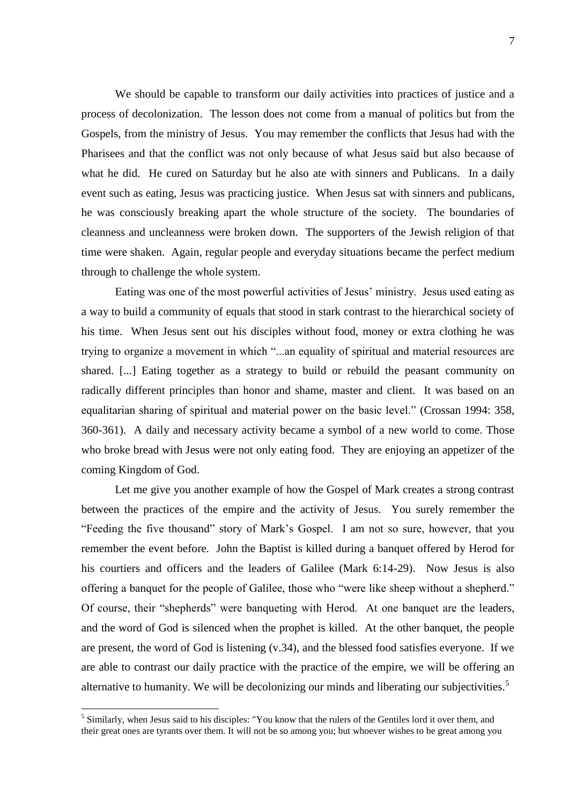We should be capable to transform our daily activities into practices of justice and a process of decolonization. The lesson does not come from a manual of politics but from the Gospels, from the ministry of Jesus. You may remember the conflicts that Jesus had with the Pharisees and that the conflict was not only because of what Jesus said but also because of what he did. He cured on Saturday but he also ate with sinners and Publicans. In a daily event such as eating, Jesus was practicing justice. When Jesus sat with sinners and publicans, he was consciously breaking apart the whole structure of the society. The boundaries of cleanness and uncleanness were broken down. The supporters of the Jewish religion of that time were shaken. Again, regular people and everyday situations became the perfect medium through to challenge the whole system.

Eating was one of the most powerful activities of Jesus' ministry. Jesus used eating as a way to build a community of equals that stood in stark contrast to the hierarchical society of his time. When Jesus sent out his disciples without food, money or extra clothing he was trying to organize a movement in which "...an equality of spiritual and material resources are shared. [...] Eating together as a strategy to build or rebuild the peasant community on radically different principles than honor and shame, master and client. It was based on an equalitarian sharing of spiritual and material power on the basic level." (Crossan 1994: 358, 360-361). A daily and necessary activity became a symbol of a new world to come. Those who broke bread with Jesus were not only eating food. They are enjoying an appetizer of the coming Kingdom of God.

Let me give you another example of how the Gospel of Mark creates a strong contrast between the practices of the empire and the activity of Jesus. You surely remember the "Feeding the five thousand" story of Mark's Gospel. I am not so sure, however, that you remember the event before. John the Baptist is killed during a banquet offered by Herod for his courtiers and officers and the leaders of Galilee (Mark 6:14-29). Now Jesus is also offering a banquet for the people of Galilee, those who "were like sheep without a shepherd." Of course, their "shepherds" were banqueting with Herod. At one banquet are the leaders, and the word of God is silenced when the prophet is killed. At the other banquet, the people are present, the word of God is listening (v.34), and the blessed food satisfies everyone. If we are able to contrast our daily practice with the practice of the empire, we will be offering an alternative to humanity. We will be decolonizing our minds and liberating our subjectivities.<sup>5</sup>

<u>.</u>

<sup>&</sup>lt;sup>5</sup> Similarly, when Jesus said to his disciples: "You know that the rulers of the Gentiles lord it over them, and their great ones are tyrants over them. It will not be so among you; but whoever wishes to be great among you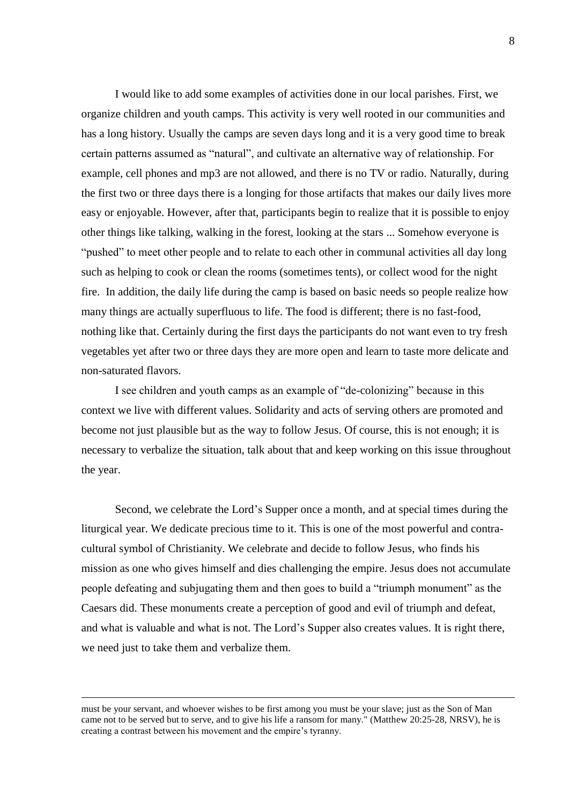I would like to add some examples of activities done in our local parishes. First, we organize children and youth camps. This activity is very well rooted in our communities and has a long history. Usually the camps are seven days long and it is a very good time to break certain patterns assumed as "natural", and cultivate an alternative way of relationship. For example, cell phones and mp3 are not allowed, and there is no TV or radio. Naturally, during the first two or three days there is a longing for those artifacts that makes our daily lives more easy or enjoyable. However, after that, participants begin to realize that it is possible to enjoy other things like talking, walking in the forest, looking at the stars ... Somehow everyone is "pushed" to meet other people and to relate to each other in communal activities all day long such as helping to cook or clean the rooms (sometimes tents), or collect wood for the night fire. In addition, the daily life during the camp is based on basic needs so people realize how many things are actually superfluous to life. The food is different; there is no fast-food, nothing like that. Certainly during the first days the participants do not want even to try fresh vegetables yet after two or three days they are more open and learn to taste more delicate and non-saturated flavors.

I see children and youth camps as an example of "de-colonizing" because in this context we live with different values. Solidarity and acts of serving others are promoted and become not just plausible but as the way to follow Jesus. Of course, this is not enough; it is necessary to verbalize the situation, talk about that and keep working on this issue throughout the year.

Second, we celebrate the Lord's Supper once a month, and at special times during the liturgical year. We dedicate precious time to it. This is one of the most powerful and contracultural symbol of Christianity. We celebrate and decide to follow Jesus, who finds his mission as one who gives himself and dies challenging the empire. Jesus does not accumulate people defeating and subjugating them and then goes to build a "triumph monument" as the Caesars did. These monuments create a perception of good and evil of triumph and defeat, and what is valuable and what is not. The Lord's Supper also creates values. It is right there, we need just to take them and verbalize them.

<u>.</u>

must be your servant, and whoever wishes to be first among you must be your slave; just as the Son of Man came not to be served but to serve, and to give his life a ransom for many." (Matthew 20:25-28, NRSV), he is creating a contrast between his movement and the empire's tyranny.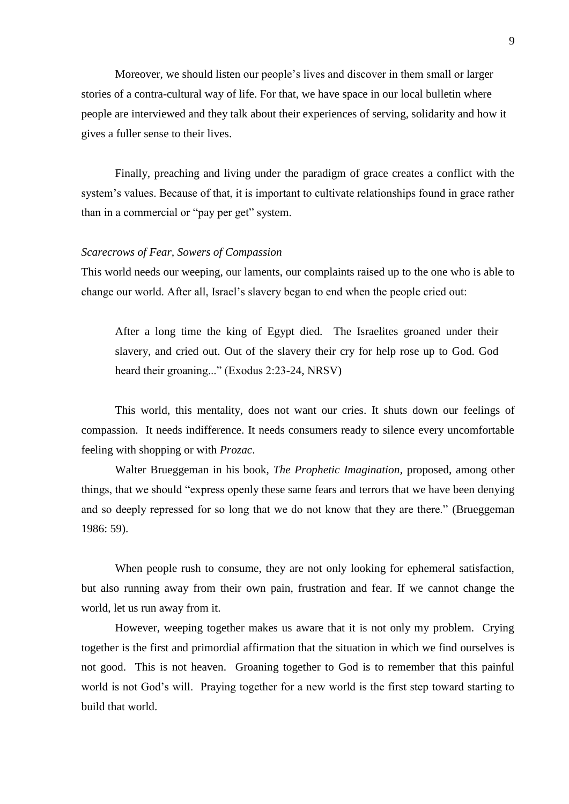Moreover, we should listen our people's lives and discover in them small or larger stories of a contra-cultural way of life. For that, we have space in our local bulletin where people are interviewed and they talk about their experiences of serving, solidarity and how it gives a fuller sense to their lives.

Finally, preaching and living under the paradigm of grace creates a conflict with the system's values. Because of that, it is important to cultivate relationships found in grace rather than in a commercial or "pay per get" system.

## *Scarecrows of Fear, Sowers of Compassion*

This world needs our weeping, our laments, our complaints raised up to the one who is able to change our world. After all, Israel's slavery began to end when the people cried out:

After a long time the king of Egypt died. The Israelites groaned under their slavery, and cried out. Out of the slavery their cry for help rose up to God. God heard their groaning..." (Exodus 2:23-24, NRSV)

This world, this mentality, does not want our cries. It shuts down our feelings of compassion. It needs indifference. It needs consumers ready to silence every uncomfortable feeling with shopping or with *Prozac*.

Walter Brueggeman in his book, *The Prophetic Imagination,* proposed, among other things, that we should "express openly these same fears and terrors that we have been denying and so deeply repressed for so long that we do not know that they are there." (Brueggeman 1986: 59).

When people rush to consume, they are not only looking for ephemeral satisfaction, but also running away from their own pain, frustration and fear. If we cannot change the world, let us run away from it.

However, weeping together makes us aware that it is not only my problem. Crying together is the first and primordial affirmation that the situation in which we find ourselves is not good. This is not heaven. Groaning together to God is to remember that this painful world is not God's will. Praying together for a new world is the first step toward starting to build that world.